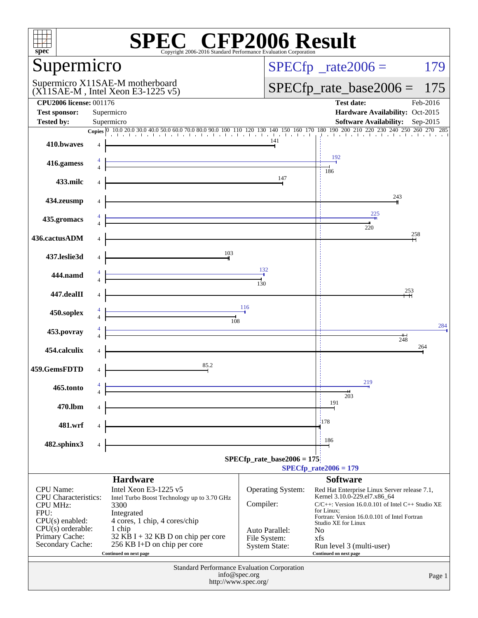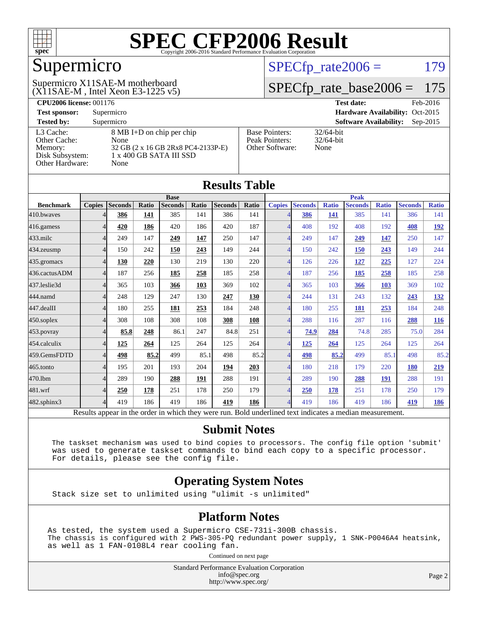

## Supermicro

(X11SAE-M , Intel Xeon E3-1225 v5) Supermicro X11SAE-M motherboard

 $SPECTp_rate2006 = 179$ 

#### [SPECfp\\_rate\\_base2006 =](http://www.spec.org/auto/cpu2006/Docs/result-fields.html#SPECfpratebase2006) 175

| <b>CPU2006 license: 001176</b> |                                    |                                 | <b>Test date:</b><br>Feb-2016               |  |  |  |
|--------------------------------|------------------------------------|---------------------------------|---------------------------------------------|--|--|--|
| <b>Test sponsor:</b>           | Supermicro                         | Hardware Availability: Oct-2015 |                                             |  |  |  |
| <b>Tested by:</b>              | Supermicro                         |                                 | <b>Software Availability:</b><br>$Sep-2015$ |  |  |  |
| L3 Cache:                      | 8 MB I+D on chip per chip          | <b>Base Pointers:</b>           | $32/64$ -bit                                |  |  |  |
| Other Cache:                   | None                               | Peak Pointers:                  | $32/64$ -bit                                |  |  |  |
| Memory:                        | 32 GB (2 x 16 GB 2Rx8 PC4-2133P-E) | Other Software:                 | None                                        |  |  |  |
| Disk Subsystem:                | 1 x 400 GB SATA III SSD            |                                 |                                             |  |  |  |
| Other Hardware:                | None                               |                                 |                                             |  |  |  |

| <b>Results Table</b>                                                                                     |               |                |       |                |       |                |       |                          |                |              |                |              |                |              |
|----------------------------------------------------------------------------------------------------------|---------------|----------------|-------|----------------|-------|----------------|-------|--------------------------|----------------|--------------|----------------|--------------|----------------|--------------|
|                                                                                                          | <b>Base</b>   |                |       | <b>Peak</b>    |       |                |       |                          |                |              |                |              |                |              |
| <b>Benchmark</b>                                                                                         | <b>Copies</b> | <b>Seconds</b> | Ratio | <b>Seconds</b> | Ratio | <b>Seconds</b> | Ratio | <b>Copies</b>            | <b>Seconds</b> | <b>Ratio</b> | <b>Seconds</b> | <b>Ratio</b> | <b>Seconds</b> | <b>Ratio</b> |
| 410.bwayes                                                                                               |               | 386            | 141   | 385            | 141   | 386            | 141   |                          | 386            | 141          | 385            | 141          | 386            | 141          |
| 416.gamess                                                                                               | 4             | 420            | 186   | 420            | 186   | 420            | 187   | $\overline{4}$           | 408            | 192          | 408            | 192          | 408            | <u>192</u>   |
| $433$ .milc                                                                                              | 4             | 249            | 147   | 249            | 147   | 250            | 147   | $\overline{4}$           | 249            | 147          | 249            | 147          | 250            | 147          |
| 434.zeusmp                                                                                               | 4             | 150            | 242   | 150            | 243   | 149            | 244   | $\overline{\mathcal{A}}$ | 150            | 242          | 150            | 243          | 149            | 244          |
| 435.gromacs                                                                                              | Δ             | 130            | 220   | 130            | 219   | 130            | 220   | $\Delta$                 | 126            | 226          | 127            | 225          | 127            | 224          |
| 436.cactusADM                                                                                            | 4             | 187            | 256   | 185            | 258   | 185            | 258   | $\overline{4}$           | 187            | 256          | 185            | 258          | 185            | 258          |
| 437.leslie3d                                                                                             | 4             | 365            | 103   | 366            | 103   | 369            | 102   |                          | 365            | 103          | 366            | 103          | 369            | 102          |
| 444.namd                                                                                                 | 4             | 248            | 129   | 247            | 130   | 247            | 130   | $\Delta$                 | 244            | 131          | 243            | 132          | 243            | <u>132</u>   |
| 447.dealII                                                                                               | 4             | 180            | 255   | 181            | 253   | 184            | 248   | $\overline{4}$           | 180            | 255          | 181            | 253          | 184            | 248          |
| $450$ .soplex                                                                                            | Δ             | 308            | 108   | 308            | 108   | 308            | 108   |                          | 288            | 116          | 287            | 116          | 288            | <b>116</b>   |
| 453.povray                                                                                               |               | 85.8           | 248   | 86.1           | 247   | 84.8           | 251   | $\overline{4}$           | 74.9           | 284          | 74.8           | 285          | 75.0           | 284          |
| 454.calculix                                                                                             | 4             | 125            | 264   | 125            | 264   | 125            | 264   | 4                        | 125            | 264          | 125            | 264          | 125            | 264          |
| 459.GemsFDTD                                                                                             | 4             | 498            | 85.2  | 499            | 85.1  | 498            | 85.2  | $\overline{\mathcal{A}}$ | 498            | 85.2         | 499            | 85.1         | 498            | 85.2         |
| 465.tonto                                                                                                | 4             | 195            | 201   | 193            | 204   | 194            | 203   | 4                        | 180            | 218          | 179            | 220          | <b>180</b>     | 219          |
| 470.1bm                                                                                                  | Δ             | 289            | 190   | 288            | 191   | 288            | 191   | $\overline{4}$           | 289            | 190          | 288            | 191          | 288            | 191          |
| 481.wrf                                                                                                  | 4             | 250            | 178   | 251            | 178   | 250            | 179   |                          | 250            | 178          | 251            | 178          | 250            | 179          |
| $482$ .sphinx $3$                                                                                        | 4             | 419            | 186   | 419            | 186   | 419            | 186   | $\overline{A}$           | 419            | 186          | 419            | 186          | 419            | 186          |
| Results appear in the order in which they were run. Bold underlined text indicates a median measurement. |               |                |       |                |       |                |       |                          |                |              |                |              |                |              |

#### **[Submit Notes](http://www.spec.org/auto/cpu2006/Docs/result-fields.html#SubmitNotes)**

 The taskset mechanism was used to bind copies to processors. The config file option 'submit' was used to generate taskset commands to bind each copy to a specific processor. For details, please see the config file.

#### **[Operating System Notes](http://www.spec.org/auto/cpu2006/Docs/result-fields.html#OperatingSystemNotes)**

Stack size set to unlimited using "ulimit -s unlimited"

#### **[Platform Notes](http://www.spec.org/auto/cpu2006/Docs/result-fields.html#PlatformNotes)**

As tested, the system used a Supermicro CSE-731i-300B chassis. The chassis is configured with 2 PWS-305-PQ redundant power supply, 1 SNK-P0046A4 heatsink, as well as 1 FAN-0108L4 rear cooling fan.

Continued on next page

Standard Performance Evaluation Corporation [info@spec.org](mailto:info@spec.org) <http://www.spec.org/>

Page 2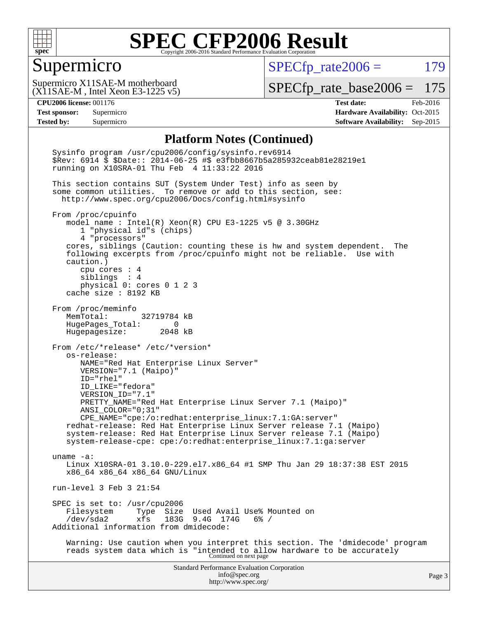

#### Supermicro

 $SPECfp_rate2006 = 179$  $SPECfp_rate2006 = 179$ 

(X11SAE-M , Intel Xeon E3-1225 v5) Supermicro X11SAE-M motherboard

[SPECfp\\_rate\\_base2006 =](http://www.spec.org/auto/cpu2006/Docs/result-fields.html#SPECfpratebase2006) 175

**[CPU2006 license:](http://www.spec.org/auto/cpu2006/Docs/result-fields.html#CPU2006license)** 001176 **[Test date:](http://www.spec.org/auto/cpu2006/Docs/result-fields.html#Testdate)** Feb-2016 **[Test sponsor:](http://www.spec.org/auto/cpu2006/Docs/result-fields.html#Testsponsor)** Supermicro Supermicro **[Hardware Availability:](http://www.spec.org/auto/cpu2006/Docs/result-fields.html#HardwareAvailability)** Oct-2015 **[Tested by:](http://www.spec.org/auto/cpu2006/Docs/result-fields.html#Testedby)** Supermicro **Supermicro [Software Availability:](http://www.spec.org/auto/cpu2006/Docs/result-fields.html#SoftwareAvailability)** Sep-2015

#### **[Platform Notes \(Continued\)](http://www.spec.org/auto/cpu2006/Docs/result-fields.html#PlatformNotes)**

Standard Performance Evaluation Corporation [info@spec.org](mailto:info@spec.org) <http://www.spec.org/> Page 3 Sysinfo program /usr/cpu2006/config/sysinfo.rev6914 \$Rev: 6914 \$ \$Date:: 2014-06-25 #\$ e3fbb8667b5a285932ceab81e28219e1 running on X10SRA-01 Thu Feb 4 11:33:22 2016 This section contains SUT (System Under Test) info as seen by some common utilities. To remove or add to this section, see: <http://www.spec.org/cpu2006/Docs/config.html#sysinfo> From /proc/cpuinfo model name : Intel(R) Xeon(R) CPU E3-1225 v5 @ 3.30GHz 1 "physical id"s (chips) 4 "processors" cores, siblings (Caution: counting these is hw and system dependent. The following excerpts from /proc/cpuinfo might not be reliable. Use with caution.) cpu cores : 4 siblings : 4 physical 0: cores 0 1 2 3 cache size : 8192 KB From /proc/meminfo MemTotal: 32719784 kB HugePages\_Total: 0 Hugepagesize: 2048 kB From /etc/\*release\* /etc/\*version\* os-release: NAME="Red Hat Enterprise Linux Server" VERSION="7.1 (Maipo)" ID="rhel" ID\_LIKE="fedora" VERSION\_ID="7.1" PRETTY\_NAME="Red Hat Enterprise Linux Server 7.1 (Maipo)" ANSI\_COLOR="0;31" CPE\_NAME="cpe:/o:redhat:enterprise\_linux:7.1:GA:server" redhat-release: Red Hat Enterprise Linux Server release 7.1 (Maipo) system-release: Red Hat Enterprise Linux Server release 7.1 (Maipo) system-release-cpe: cpe:/o:redhat:enterprise\_linux:7.1:ga:server uname -a: Linux X10SRA-01 3.10.0-229.el7.x86\_64 #1 SMP Thu Jan 29 18:37:38 EST 2015 x86\_64 x86\_64 x86\_64 GNU/Linux run-level 3 Feb 3 21:54 SPEC is set to: /usr/cpu2006<br>Filesystem Type Size Filesystem Type Size Used Avail Use% Mounted on<br>/dev/sda2 xfs 183G 9.4G 174G 6% / xfs 183G 9.4G 174G 6% / Additional information from dmidecode: Warning: Use caution when you interpret this section. The 'dmidecode' program reads system data which is "intended to allow hardware to be accurately Continued on next page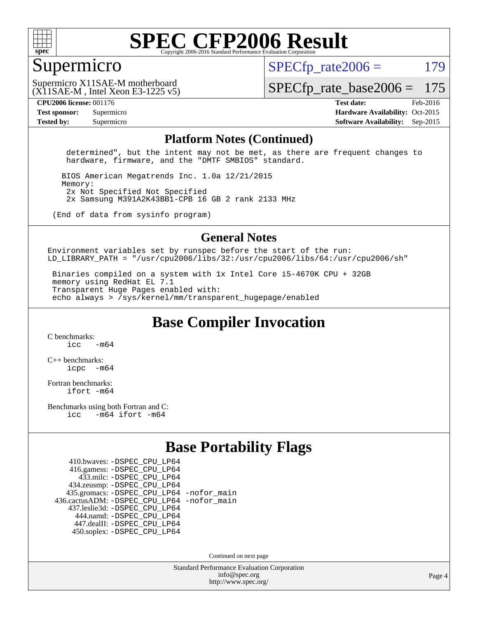

#### Supermicro

 $SPECTp\_rate2006 = 179$ 

(X11SAE-M , Intel Xeon E3-1225 v5) Supermicro X11SAE-M motherboard

[SPECfp\\_rate\\_base2006 =](http://www.spec.org/auto/cpu2006/Docs/result-fields.html#SPECfpratebase2006) 175

**[CPU2006 license:](http://www.spec.org/auto/cpu2006/Docs/result-fields.html#CPU2006license)** 001176 **[Test date:](http://www.spec.org/auto/cpu2006/Docs/result-fields.html#Testdate)** Feb-2016 **[Test sponsor:](http://www.spec.org/auto/cpu2006/Docs/result-fields.html#Testsponsor)** Supermicro Supermicro **[Hardware Availability:](http://www.spec.org/auto/cpu2006/Docs/result-fields.html#HardwareAvailability)** Oct-2015 **[Tested by:](http://www.spec.org/auto/cpu2006/Docs/result-fields.html#Testedby)** Supermicro **Supermicro [Software Availability:](http://www.spec.org/auto/cpu2006/Docs/result-fields.html#SoftwareAvailability)** Sep-2015

#### **[Platform Notes \(Continued\)](http://www.spec.org/auto/cpu2006/Docs/result-fields.html#PlatformNotes)**

 determined", but the intent may not be met, as there are frequent changes to hardware, firmware, and the "DMTF SMBIOS" standard.

 BIOS American Megatrends Inc. 1.0a 12/21/2015 Memory: 2x Not Specified Not Specified 2x Samsung M391A2K43BB1-CPB 16 GB 2 rank 2133 MHz

(End of data from sysinfo program)

#### **[General Notes](http://www.spec.org/auto/cpu2006/Docs/result-fields.html#GeneralNotes)**

Environment variables set by runspec before the start of the run: LD LIBRARY\_PATH = "/usr/cpu2006/libs/32:/usr/cpu2006/libs/64:/usr/cpu2006/sh"

 Binaries compiled on a system with 1x Intel Core i5-4670K CPU + 32GB memory using RedHat EL 7.1 Transparent Huge Pages enabled with: echo always > /sys/kernel/mm/transparent\_hugepage/enabled

**[Base Compiler Invocation](http://www.spec.org/auto/cpu2006/Docs/result-fields.html#BaseCompilerInvocation)**

[C benchmarks](http://www.spec.org/auto/cpu2006/Docs/result-fields.html#Cbenchmarks):  $icc$   $-m64$ 

[C++ benchmarks:](http://www.spec.org/auto/cpu2006/Docs/result-fields.html#CXXbenchmarks) [icpc -m64](http://www.spec.org/cpu2006/results/res2016q1/cpu2006-20160307-39283.flags.html#user_CXXbase_intel_icpc_64bit_bedb90c1146cab66620883ef4f41a67e)

[Fortran benchmarks](http://www.spec.org/auto/cpu2006/Docs/result-fields.html#Fortranbenchmarks): [ifort -m64](http://www.spec.org/cpu2006/results/res2016q1/cpu2006-20160307-39283.flags.html#user_FCbase_intel_ifort_64bit_ee9d0fb25645d0210d97eb0527dcc06e)

[Benchmarks using both Fortran and C](http://www.spec.org/auto/cpu2006/Docs/result-fields.html#BenchmarksusingbothFortranandC): [icc -m64](http://www.spec.org/cpu2006/results/res2016q1/cpu2006-20160307-39283.flags.html#user_CC_FCbase_intel_icc_64bit_0b7121f5ab7cfabee23d88897260401c) [ifort -m64](http://www.spec.org/cpu2006/results/res2016q1/cpu2006-20160307-39283.flags.html#user_CC_FCbase_intel_ifort_64bit_ee9d0fb25645d0210d97eb0527dcc06e)

### **[Base Portability Flags](http://www.spec.org/auto/cpu2006/Docs/result-fields.html#BasePortabilityFlags)**

 410.bwaves: [-DSPEC\\_CPU\\_LP64](http://www.spec.org/cpu2006/results/res2016q1/cpu2006-20160307-39283.flags.html#suite_basePORTABILITY410_bwaves_DSPEC_CPU_LP64) 416.gamess: [-DSPEC\\_CPU\\_LP64](http://www.spec.org/cpu2006/results/res2016q1/cpu2006-20160307-39283.flags.html#suite_basePORTABILITY416_gamess_DSPEC_CPU_LP64) 433.milc: [-DSPEC\\_CPU\\_LP64](http://www.spec.org/cpu2006/results/res2016q1/cpu2006-20160307-39283.flags.html#suite_basePORTABILITY433_milc_DSPEC_CPU_LP64) 434.zeusmp: [-DSPEC\\_CPU\\_LP64](http://www.spec.org/cpu2006/results/res2016q1/cpu2006-20160307-39283.flags.html#suite_basePORTABILITY434_zeusmp_DSPEC_CPU_LP64) 435.gromacs: [-DSPEC\\_CPU\\_LP64](http://www.spec.org/cpu2006/results/res2016q1/cpu2006-20160307-39283.flags.html#suite_basePORTABILITY435_gromacs_DSPEC_CPU_LP64) [-nofor\\_main](http://www.spec.org/cpu2006/results/res2016q1/cpu2006-20160307-39283.flags.html#user_baseLDPORTABILITY435_gromacs_f-nofor_main) 436.cactusADM: [-DSPEC\\_CPU\\_LP64](http://www.spec.org/cpu2006/results/res2016q1/cpu2006-20160307-39283.flags.html#suite_basePORTABILITY436_cactusADM_DSPEC_CPU_LP64) [-nofor\\_main](http://www.spec.org/cpu2006/results/res2016q1/cpu2006-20160307-39283.flags.html#user_baseLDPORTABILITY436_cactusADM_f-nofor_main) 437.leslie3d: [-DSPEC\\_CPU\\_LP64](http://www.spec.org/cpu2006/results/res2016q1/cpu2006-20160307-39283.flags.html#suite_basePORTABILITY437_leslie3d_DSPEC_CPU_LP64) 444.namd: [-DSPEC\\_CPU\\_LP64](http://www.spec.org/cpu2006/results/res2016q1/cpu2006-20160307-39283.flags.html#suite_basePORTABILITY444_namd_DSPEC_CPU_LP64) 447.dealII: [-DSPEC\\_CPU\\_LP64](http://www.spec.org/cpu2006/results/res2016q1/cpu2006-20160307-39283.flags.html#suite_basePORTABILITY447_dealII_DSPEC_CPU_LP64) 450.soplex: [-DSPEC\\_CPU\\_LP64](http://www.spec.org/cpu2006/results/res2016q1/cpu2006-20160307-39283.flags.html#suite_basePORTABILITY450_soplex_DSPEC_CPU_LP64)

Continued on next page

Standard Performance Evaluation Corporation [info@spec.org](mailto:info@spec.org) <http://www.spec.org/>

Page 4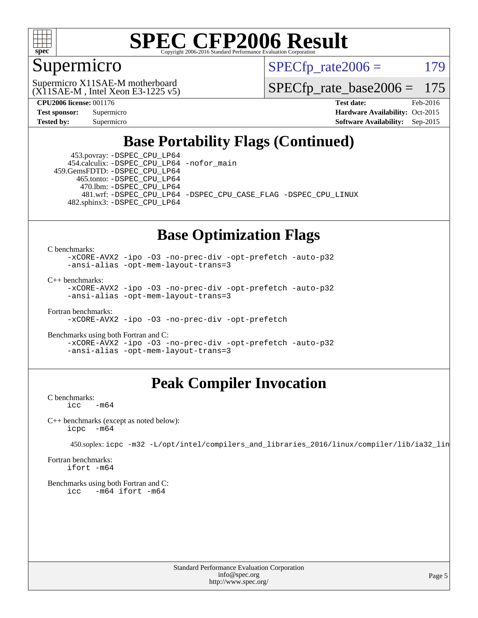

### Supermicro

 $SPECTp\_rate2006 = 179$ 

(X11SAE-M , Intel Xeon E3-1225 v5) Supermicro X11SAE-M motherboard

[SPECfp\\_rate\\_base2006 =](http://www.spec.org/auto/cpu2006/Docs/result-fields.html#SPECfpratebase2006) 175

**[CPU2006 license:](http://www.spec.org/auto/cpu2006/Docs/result-fields.html#CPU2006license)** 001176 **[Test date:](http://www.spec.org/auto/cpu2006/Docs/result-fields.html#Testdate)** Feb-2016 **[Test sponsor:](http://www.spec.org/auto/cpu2006/Docs/result-fields.html#Testsponsor)** Supermicro Supermicro **[Hardware Availability:](http://www.spec.org/auto/cpu2006/Docs/result-fields.html#HardwareAvailability)** Oct-2015 **[Tested by:](http://www.spec.org/auto/cpu2006/Docs/result-fields.html#Testedby)** Supermicro **Supermicro [Software Availability:](http://www.spec.org/auto/cpu2006/Docs/result-fields.html#SoftwareAvailability)** Sep-2015

### **[Base Portability Flags \(Continued\)](http://www.spec.org/auto/cpu2006/Docs/result-fields.html#BasePortabilityFlags)**

 453.povray: [-DSPEC\\_CPU\\_LP64](http://www.spec.org/cpu2006/results/res2016q1/cpu2006-20160307-39283.flags.html#suite_basePORTABILITY453_povray_DSPEC_CPU_LP64) 454.calculix: [-DSPEC\\_CPU\\_LP64](http://www.spec.org/cpu2006/results/res2016q1/cpu2006-20160307-39283.flags.html#suite_basePORTABILITY454_calculix_DSPEC_CPU_LP64) [-nofor\\_main](http://www.spec.org/cpu2006/results/res2016q1/cpu2006-20160307-39283.flags.html#user_baseLDPORTABILITY454_calculix_f-nofor_main) 459.GemsFDTD: [-DSPEC\\_CPU\\_LP64](http://www.spec.org/cpu2006/results/res2016q1/cpu2006-20160307-39283.flags.html#suite_basePORTABILITY459_GemsFDTD_DSPEC_CPU_LP64)

 465.tonto: [-DSPEC\\_CPU\\_LP64](http://www.spec.org/cpu2006/results/res2016q1/cpu2006-20160307-39283.flags.html#suite_basePORTABILITY465_tonto_DSPEC_CPU_LP64) 470.lbm: [-DSPEC\\_CPU\\_LP64](http://www.spec.org/cpu2006/results/res2016q1/cpu2006-20160307-39283.flags.html#suite_basePORTABILITY470_lbm_DSPEC_CPU_LP64)

 481.wrf: [-DSPEC\\_CPU\\_LP64](http://www.spec.org/cpu2006/results/res2016q1/cpu2006-20160307-39283.flags.html#suite_basePORTABILITY481_wrf_DSPEC_CPU_LP64) [-DSPEC\\_CPU\\_CASE\\_FLAG](http://www.spec.org/cpu2006/results/res2016q1/cpu2006-20160307-39283.flags.html#b481.wrf_baseCPORTABILITY_DSPEC_CPU_CASE_FLAG) [-DSPEC\\_CPU\\_LINUX](http://www.spec.org/cpu2006/results/res2016q1/cpu2006-20160307-39283.flags.html#b481.wrf_baseCPORTABILITY_DSPEC_CPU_LINUX) 482.sphinx3: [-DSPEC\\_CPU\\_LP64](http://www.spec.org/cpu2006/results/res2016q1/cpu2006-20160307-39283.flags.html#suite_basePORTABILITY482_sphinx3_DSPEC_CPU_LP64)

#### **[Base Optimization Flags](http://www.spec.org/auto/cpu2006/Docs/result-fields.html#BaseOptimizationFlags)**

[C benchmarks](http://www.spec.org/auto/cpu2006/Docs/result-fields.html#Cbenchmarks):

[-xCORE-AVX2](http://www.spec.org/cpu2006/results/res2016q1/cpu2006-20160307-39283.flags.html#user_CCbase_f-xAVX2_5f5fc0cbe2c9f62c816d3e45806c70d7) [-ipo](http://www.spec.org/cpu2006/results/res2016q1/cpu2006-20160307-39283.flags.html#user_CCbase_f-ipo) [-O3](http://www.spec.org/cpu2006/results/res2016q1/cpu2006-20160307-39283.flags.html#user_CCbase_f-O3) [-no-prec-div](http://www.spec.org/cpu2006/results/res2016q1/cpu2006-20160307-39283.flags.html#user_CCbase_f-no-prec-div) [-opt-prefetch](http://www.spec.org/cpu2006/results/res2016q1/cpu2006-20160307-39283.flags.html#user_CCbase_f-opt-prefetch) [-auto-p32](http://www.spec.org/cpu2006/results/res2016q1/cpu2006-20160307-39283.flags.html#user_CCbase_f-auto-p32) [-ansi-alias](http://www.spec.org/cpu2006/results/res2016q1/cpu2006-20160307-39283.flags.html#user_CCbase_f-ansi-alias) [-opt-mem-layout-trans=3](http://www.spec.org/cpu2006/results/res2016q1/cpu2006-20160307-39283.flags.html#user_CCbase_f-opt-mem-layout-trans_a7b82ad4bd7abf52556d4961a2ae94d5)

[C++ benchmarks:](http://www.spec.org/auto/cpu2006/Docs/result-fields.html#CXXbenchmarks)

[-xCORE-AVX2](http://www.spec.org/cpu2006/results/res2016q1/cpu2006-20160307-39283.flags.html#user_CXXbase_f-xAVX2_5f5fc0cbe2c9f62c816d3e45806c70d7) [-ipo](http://www.spec.org/cpu2006/results/res2016q1/cpu2006-20160307-39283.flags.html#user_CXXbase_f-ipo) [-O3](http://www.spec.org/cpu2006/results/res2016q1/cpu2006-20160307-39283.flags.html#user_CXXbase_f-O3) [-no-prec-div](http://www.spec.org/cpu2006/results/res2016q1/cpu2006-20160307-39283.flags.html#user_CXXbase_f-no-prec-div) [-opt-prefetch](http://www.spec.org/cpu2006/results/res2016q1/cpu2006-20160307-39283.flags.html#user_CXXbase_f-opt-prefetch) [-auto-p32](http://www.spec.org/cpu2006/results/res2016q1/cpu2006-20160307-39283.flags.html#user_CXXbase_f-auto-p32) [-ansi-alias](http://www.spec.org/cpu2006/results/res2016q1/cpu2006-20160307-39283.flags.html#user_CXXbase_f-ansi-alias) [-opt-mem-layout-trans=3](http://www.spec.org/cpu2006/results/res2016q1/cpu2006-20160307-39283.flags.html#user_CXXbase_f-opt-mem-layout-trans_a7b82ad4bd7abf52556d4961a2ae94d5)

[Fortran benchmarks](http://www.spec.org/auto/cpu2006/Docs/result-fields.html#Fortranbenchmarks): [-xCORE-AVX2](http://www.spec.org/cpu2006/results/res2016q1/cpu2006-20160307-39283.flags.html#user_FCbase_f-xAVX2_5f5fc0cbe2c9f62c816d3e45806c70d7) [-ipo](http://www.spec.org/cpu2006/results/res2016q1/cpu2006-20160307-39283.flags.html#user_FCbase_f-ipo) [-O3](http://www.spec.org/cpu2006/results/res2016q1/cpu2006-20160307-39283.flags.html#user_FCbase_f-O3) [-no-prec-div](http://www.spec.org/cpu2006/results/res2016q1/cpu2006-20160307-39283.flags.html#user_FCbase_f-no-prec-div) [-opt-prefetch](http://www.spec.org/cpu2006/results/res2016q1/cpu2006-20160307-39283.flags.html#user_FCbase_f-opt-prefetch)

[Benchmarks using both Fortran and C](http://www.spec.org/auto/cpu2006/Docs/result-fields.html#BenchmarksusingbothFortranandC): [-xCORE-AVX2](http://www.spec.org/cpu2006/results/res2016q1/cpu2006-20160307-39283.flags.html#user_CC_FCbase_f-xAVX2_5f5fc0cbe2c9f62c816d3e45806c70d7) [-ipo](http://www.spec.org/cpu2006/results/res2016q1/cpu2006-20160307-39283.flags.html#user_CC_FCbase_f-ipo) [-O3](http://www.spec.org/cpu2006/results/res2016q1/cpu2006-20160307-39283.flags.html#user_CC_FCbase_f-O3) [-no-prec-div](http://www.spec.org/cpu2006/results/res2016q1/cpu2006-20160307-39283.flags.html#user_CC_FCbase_f-no-prec-div) [-opt-prefetch](http://www.spec.org/cpu2006/results/res2016q1/cpu2006-20160307-39283.flags.html#user_CC_FCbase_f-opt-prefetch) [-auto-p32](http://www.spec.org/cpu2006/results/res2016q1/cpu2006-20160307-39283.flags.html#user_CC_FCbase_f-auto-p32) [-ansi-alias](http://www.spec.org/cpu2006/results/res2016q1/cpu2006-20160307-39283.flags.html#user_CC_FCbase_f-ansi-alias) [-opt-mem-layout-trans=3](http://www.spec.org/cpu2006/results/res2016q1/cpu2006-20160307-39283.flags.html#user_CC_FCbase_f-opt-mem-layout-trans_a7b82ad4bd7abf52556d4961a2ae94d5)

### **[Peak Compiler Invocation](http://www.spec.org/auto/cpu2006/Docs/result-fields.html#PeakCompilerInvocation)**

[C benchmarks](http://www.spec.org/auto/cpu2006/Docs/result-fields.html#Cbenchmarks):  $\text{icc}$   $-\text{m64}$ 

[C++ benchmarks \(except as noted below\):](http://www.spec.org/auto/cpu2006/Docs/result-fields.html#CXXbenchmarksexceptasnotedbelow) [icpc -m64](http://www.spec.org/cpu2006/results/res2016q1/cpu2006-20160307-39283.flags.html#user_CXXpeak_intel_icpc_64bit_bedb90c1146cab66620883ef4f41a67e)

450.soplex: [icpc -m32 -L/opt/intel/compilers\\_and\\_libraries\\_2016/linux/compiler/lib/ia32\\_lin](http://www.spec.org/cpu2006/results/res2016q1/cpu2006-20160307-39283.flags.html#user_peakCXXLD450_soplex_intel_icpc_b4f50a394bdb4597aa5879c16bc3f5c5)

[Fortran benchmarks](http://www.spec.org/auto/cpu2006/Docs/result-fields.html#Fortranbenchmarks): [ifort -m64](http://www.spec.org/cpu2006/results/res2016q1/cpu2006-20160307-39283.flags.html#user_FCpeak_intel_ifort_64bit_ee9d0fb25645d0210d97eb0527dcc06e)

[Benchmarks using both Fortran and C](http://www.spec.org/auto/cpu2006/Docs/result-fields.html#BenchmarksusingbothFortranandC): [icc -m64](http://www.spec.org/cpu2006/results/res2016q1/cpu2006-20160307-39283.flags.html#user_CC_FCpeak_intel_icc_64bit_0b7121f5ab7cfabee23d88897260401c) [ifort -m64](http://www.spec.org/cpu2006/results/res2016q1/cpu2006-20160307-39283.flags.html#user_CC_FCpeak_intel_ifort_64bit_ee9d0fb25645d0210d97eb0527dcc06e)

> Standard Performance Evaluation Corporation [info@spec.org](mailto:info@spec.org) <http://www.spec.org/>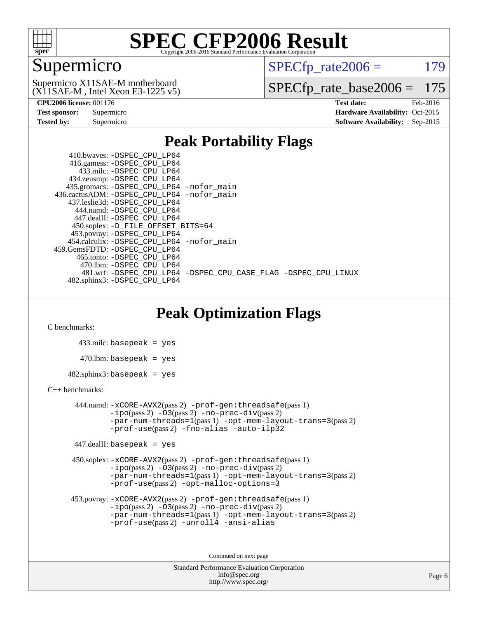

### Supermicro

 $SPECTp\_rate2006 = 179$ 

(X11SAE-M , Intel Xeon E3-1225 v5) Supermicro X11SAE-M motherboard

[SPECfp\\_rate\\_base2006 =](http://www.spec.org/auto/cpu2006/Docs/result-fields.html#SPECfpratebase2006) 175

| <b>Test sponsor:</b> | Supermicro |  |  |  |
|----------------------|------------|--|--|--|
| <b>Tested by:</b>    | Supermicro |  |  |  |

**[CPU2006 license:](http://www.spec.org/auto/cpu2006/Docs/result-fields.html#CPU2006license)** 001176 **[Test date:](http://www.spec.org/auto/cpu2006/Docs/result-fields.html#Testdate)** Feb-2016 **[Hardware Availability:](http://www.spec.org/auto/cpu2006/Docs/result-fields.html#HardwareAvailability)** Oct-2015 **[Software Availability:](http://www.spec.org/auto/cpu2006/Docs/result-fields.html#SoftwareAvailability)** Sep-2015

#### **[Peak Portability Flags](http://www.spec.org/auto/cpu2006/Docs/result-fields.html#PeakPortabilityFlags)**

 410.bwaves: [-DSPEC\\_CPU\\_LP64](http://www.spec.org/cpu2006/results/res2016q1/cpu2006-20160307-39283.flags.html#suite_peakPORTABILITY410_bwaves_DSPEC_CPU_LP64) 416.gamess: [-DSPEC\\_CPU\\_LP64](http://www.spec.org/cpu2006/results/res2016q1/cpu2006-20160307-39283.flags.html#suite_peakPORTABILITY416_gamess_DSPEC_CPU_LP64) 433.milc: [-DSPEC\\_CPU\\_LP64](http://www.spec.org/cpu2006/results/res2016q1/cpu2006-20160307-39283.flags.html#suite_peakPORTABILITY433_milc_DSPEC_CPU_LP64) 434.zeusmp: [-DSPEC\\_CPU\\_LP64](http://www.spec.org/cpu2006/results/res2016q1/cpu2006-20160307-39283.flags.html#suite_peakPORTABILITY434_zeusmp_DSPEC_CPU_LP64) 435.gromacs: [-DSPEC\\_CPU\\_LP64](http://www.spec.org/cpu2006/results/res2016q1/cpu2006-20160307-39283.flags.html#suite_peakPORTABILITY435_gromacs_DSPEC_CPU_LP64) [-nofor\\_main](http://www.spec.org/cpu2006/results/res2016q1/cpu2006-20160307-39283.flags.html#user_peakLDPORTABILITY435_gromacs_f-nofor_main) 436.cactusADM: [-DSPEC\\_CPU\\_LP64](http://www.spec.org/cpu2006/results/res2016q1/cpu2006-20160307-39283.flags.html#suite_peakPORTABILITY436_cactusADM_DSPEC_CPU_LP64) [-nofor\\_main](http://www.spec.org/cpu2006/results/res2016q1/cpu2006-20160307-39283.flags.html#user_peakLDPORTABILITY436_cactusADM_f-nofor_main) 437.leslie3d: [-DSPEC\\_CPU\\_LP64](http://www.spec.org/cpu2006/results/res2016q1/cpu2006-20160307-39283.flags.html#suite_peakPORTABILITY437_leslie3d_DSPEC_CPU_LP64) 444.namd: [-DSPEC\\_CPU\\_LP64](http://www.spec.org/cpu2006/results/res2016q1/cpu2006-20160307-39283.flags.html#suite_peakPORTABILITY444_namd_DSPEC_CPU_LP64) 447.dealII: [-DSPEC\\_CPU\\_LP64](http://www.spec.org/cpu2006/results/res2016q1/cpu2006-20160307-39283.flags.html#suite_peakPORTABILITY447_dealII_DSPEC_CPU_LP64) 450.soplex: [-D\\_FILE\\_OFFSET\\_BITS=64](http://www.spec.org/cpu2006/results/res2016q1/cpu2006-20160307-39283.flags.html#user_peakPORTABILITY450_soplex_file_offset_bits_64_438cf9856305ebd76870a2c6dc2689ab) 453.povray: [-DSPEC\\_CPU\\_LP64](http://www.spec.org/cpu2006/results/res2016q1/cpu2006-20160307-39283.flags.html#suite_peakPORTABILITY453_povray_DSPEC_CPU_LP64) 454.calculix: [-DSPEC\\_CPU\\_LP64](http://www.spec.org/cpu2006/results/res2016q1/cpu2006-20160307-39283.flags.html#suite_peakPORTABILITY454_calculix_DSPEC_CPU_LP64) [-nofor\\_main](http://www.spec.org/cpu2006/results/res2016q1/cpu2006-20160307-39283.flags.html#user_peakLDPORTABILITY454_calculix_f-nofor_main) 459.GemsFDTD: [-DSPEC\\_CPU\\_LP64](http://www.spec.org/cpu2006/results/res2016q1/cpu2006-20160307-39283.flags.html#suite_peakPORTABILITY459_GemsFDTD_DSPEC_CPU_LP64) 465.tonto: [-DSPEC\\_CPU\\_LP64](http://www.spec.org/cpu2006/results/res2016q1/cpu2006-20160307-39283.flags.html#suite_peakPORTABILITY465_tonto_DSPEC_CPU_LP64) 470.lbm: [-DSPEC\\_CPU\\_LP64](http://www.spec.org/cpu2006/results/res2016q1/cpu2006-20160307-39283.flags.html#suite_peakPORTABILITY470_lbm_DSPEC_CPU_LP64) 481.wrf: [-DSPEC\\_CPU\\_LP64](http://www.spec.org/cpu2006/results/res2016q1/cpu2006-20160307-39283.flags.html#suite_peakPORTABILITY481_wrf_DSPEC_CPU_LP64) [-DSPEC\\_CPU\\_CASE\\_FLAG](http://www.spec.org/cpu2006/results/res2016q1/cpu2006-20160307-39283.flags.html#b481.wrf_peakCPORTABILITY_DSPEC_CPU_CASE_FLAG) [-DSPEC\\_CPU\\_LINUX](http://www.spec.org/cpu2006/results/res2016q1/cpu2006-20160307-39283.flags.html#b481.wrf_peakCPORTABILITY_DSPEC_CPU_LINUX) 482.sphinx3: [-DSPEC\\_CPU\\_LP64](http://www.spec.org/cpu2006/results/res2016q1/cpu2006-20160307-39283.flags.html#suite_peakPORTABILITY482_sphinx3_DSPEC_CPU_LP64)

### **[Peak Optimization Flags](http://www.spec.org/auto/cpu2006/Docs/result-fields.html#PeakOptimizationFlags)**

[C benchmarks](http://www.spec.org/auto/cpu2006/Docs/result-fields.html#Cbenchmarks):

 433.milc: basepeak = yes  $470.1$ bm: basepeak = yes  $482$ .sphinx3: basepeak = yes

#### [C++ benchmarks:](http://www.spec.org/auto/cpu2006/Docs/result-fields.html#CXXbenchmarks)

 444.namd: [-xCORE-AVX2](http://www.spec.org/cpu2006/results/res2016q1/cpu2006-20160307-39283.flags.html#user_peakPASS2_CXXFLAGSPASS2_LDFLAGS444_namd_f-xAVX2_5f5fc0cbe2c9f62c816d3e45806c70d7)(pass 2) [-prof-gen:threadsafe](http://www.spec.org/cpu2006/results/res2016q1/cpu2006-20160307-39283.flags.html#user_peakPASS1_CXXFLAGSPASS1_LDFLAGS444_namd_prof_gen_21a26eb79f378b550acd7bec9fe4467a)(pass 1)  $-i\text{po}(pass 2) -03(pass 2) -no-prec-div(pass 2)$  $-i\text{po}(pass 2) -03(pass 2) -no-prec-div(pass 2)$  $-i\text{po}(pass 2) -03(pass 2) -no-prec-div(pass 2)$ [-par-num-threads=1](http://www.spec.org/cpu2006/results/res2016q1/cpu2006-20160307-39283.flags.html#user_peakPASS1_CXXFLAGSPASS1_LDFLAGS444_namd_par_num_threads_786a6ff141b4e9e90432e998842df6c2)(pass 1) [-opt-mem-layout-trans=3](http://www.spec.org/cpu2006/results/res2016q1/cpu2006-20160307-39283.flags.html#user_peakPASS2_CXXFLAGS444_namd_f-opt-mem-layout-trans_a7b82ad4bd7abf52556d4961a2ae94d5)(pass 2) [-prof-use](http://www.spec.org/cpu2006/results/res2016q1/cpu2006-20160307-39283.flags.html#user_peakPASS2_CXXFLAGSPASS2_LDFLAGS444_namd_prof_use_bccf7792157ff70d64e32fe3e1250b55)(pass 2) [-fno-alias](http://www.spec.org/cpu2006/results/res2016q1/cpu2006-20160307-39283.flags.html#user_peakCXXOPTIMIZE444_namd_f-no-alias_694e77f6c5a51e658e82ccff53a9e63a) [-auto-ilp32](http://www.spec.org/cpu2006/results/res2016q1/cpu2006-20160307-39283.flags.html#user_peakCXXOPTIMIZE444_namd_f-auto-ilp32)

447.dealII: basepeak = yes

 450.soplex: [-xCORE-AVX2](http://www.spec.org/cpu2006/results/res2016q1/cpu2006-20160307-39283.flags.html#user_peakPASS2_CXXFLAGSPASS2_LDFLAGS450_soplex_f-xAVX2_5f5fc0cbe2c9f62c816d3e45806c70d7)(pass 2) [-prof-gen:threadsafe](http://www.spec.org/cpu2006/results/res2016q1/cpu2006-20160307-39283.flags.html#user_peakPASS1_CXXFLAGSPASS1_LDFLAGS450_soplex_prof_gen_21a26eb79f378b550acd7bec9fe4467a)(pass 1)  $-i\text{po}(pass 2) -\tilde{O}3(pass 2)$  -no- $\bar{p}rec-div(pass 2)$ [-par-num-threads=1](http://www.spec.org/cpu2006/results/res2016q1/cpu2006-20160307-39283.flags.html#user_peakPASS1_CXXFLAGSPASS1_LDFLAGS450_soplex_par_num_threads_786a6ff141b4e9e90432e998842df6c2)(pass 1) [-opt-mem-layout-trans=3](http://www.spec.org/cpu2006/results/res2016q1/cpu2006-20160307-39283.flags.html#user_peakPASS2_CXXFLAGS450_soplex_f-opt-mem-layout-trans_a7b82ad4bd7abf52556d4961a2ae94d5)(pass 2) [-prof-use](http://www.spec.org/cpu2006/results/res2016q1/cpu2006-20160307-39283.flags.html#user_peakPASS2_CXXFLAGSPASS2_LDFLAGS450_soplex_prof_use_bccf7792157ff70d64e32fe3e1250b55)(pass 2) [-opt-malloc-options=3](http://www.spec.org/cpu2006/results/res2016q1/cpu2006-20160307-39283.flags.html#user_peakOPTIMIZE450_soplex_f-opt-malloc-options_13ab9b803cf986b4ee62f0a5998c2238)

```
 453.povray: -xCORE-AVX2(pass 2) -prof-gen:threadsafe(pass 1)
-no-prec-div(pass 2)-par-num-threads=1(pass 1) -opt-mem-layout-trans=3(pass 2)
-prof-use(pass 2) -unroll4 -ansi-alias
```
Continued on next page

```
Standard Performance Evaluation Corporation
      info@spec.org
   http://www.spec.org/
```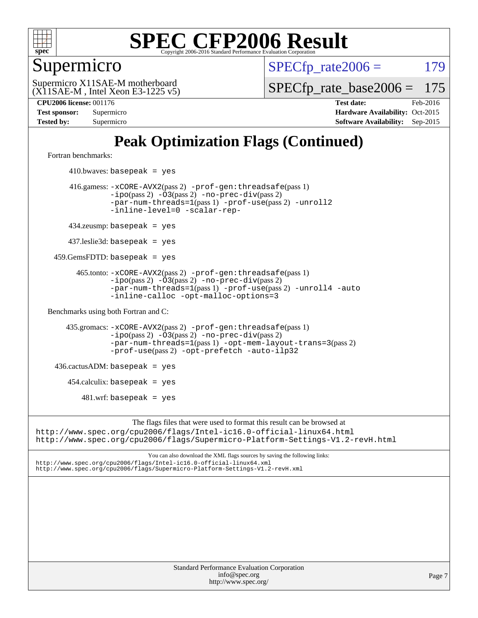

Supermicro

 $SPECTp\_rate2006 = 179$ 

(X11SAE-M , Intel Xeon E3-1225 v5) Supermicro X11SAE-M motherboard

[SPECfp\\_rate\\_base2006 =](http://www.spec.org/auto/cpu2006/Docs/result-fields.html#SPECfpratebase2006) 175

**[CPU2006 license:](http://www.spec.org/auto/cpu2006/Docs/result-fields.html#CPU2006license)** 001176 **[Test date:](http://www.spec.org/auto/cpu2006/Docs/result-fields.html#Testdate)** Feb-2016 **[Test sponsor:](http://www.spec.org/auto/cpu2006/Docs/result-fields.html#Testsponsor)** Supermicro Supermicro **[Hardware Availability:](http://www.spec.org/auto/cpu2006/Docs/result-fields.html#HardwareAvailability)** Oct-2015 **[Tested by:](http://www.spec.org/auto/cpu2006/Docs/result-fields.html#Testedby)** Supermicro **Supermicro [Software Availability:](http://www.spec.org/auto/cpu2006/Docs/result-fields.html#SoftwareAvailability)** Sep-2015

### **[Peak Optimization Flags \(Continued\)](http://www.spec.org/auto/cpu2006/Docs/result-fields.html#PeakOptimizationFlags)**

[Fortran benchmarks](http://www.spec.org/auto/cpu2006/Docs/result-fields.html#Fortranbenchmarks):

 $410.bwaves: basepeak = yes$  416.gamess: [-xCORE-AVX2](http://www.spec.org/cpu2006/results/res2016q1/cpu2006-20160307-39283.flags.html#user_peakPASS2_FFLAGSPASS2_LDFLAGS416_gamess_f-xAVX2_5f5fc0cbe2c9f62c816d3e45806c70d7)(pass 2) [-prof-gen:threadsafe](http://www.spec.org/cpu2006/results/res2016q1/cpu2006-20160307-39283.flags.html#user_peakPASS1_FFLAGSPASS1_LDFLAGS416_gamess_prof_gen_21a26eb79f378b550acd7bec9fe4467a)(pass 1) [-ipo](http://www.spec.org/cpu2006/results/res2016q1/cpu2006-20160307-39283.flags.html#user_peakPASS2_FFLAGSPASS2_LDFLAGS416_gamess_f-ipo)(pass 2) [-O3](http://www.spec.org/cpu2006/results/res2016q1/cpu2006-20160307-39283.flags.html#user_peakPASS2_FFLAGSPASS2_LDFLAGS416_gamess_f-O3)(pass 2) [-no-prec-div](http://www.spec.org/cpu2006/results/res2016q1/cpu2006-20160307-39283.flags.html#user_peakPASS2_FFLAGSPASS2_LDFLAGS416_gamess_f-no-prec-div)(pass 2) [-par-num-threads=1](http://www.spec.org/cpu2006/results/res2016q1/cpu2006-20160307-39283.flags.html#user_peakPASS1_FFLAGSPASS1_LDFLAGS416_gamess_par_num_threads_786a6ff141b4e9e90432e998842df6c2)(pass 1) [-prof-use](http://www.spec.org/cpu2006/results/res2016q1/cpu2006-20160307-39283.flags.html#user_peakPASS2_FFLAGSPASS2_LDFLAGS416_gamess_prof_use_bccf7792157ff70d64e32fe3e1250b55)(pass 2) [-unroll2](http://www.spec.org/cpu2006/results/res2016q1/cpu2006-20160307-39283.flags.html#user_peakOPTIMIZE416_gamess_f-unroll_784dae83bebfb236979b41d2422d7ec2) [-inline-level=0](http://www.spec.org/cpu2006/results/res2016q1/cpu2006-20160307-39283.flags.html#user_peakOPTIMIZE416_gamess_f-inline-level_318d07a09274ad25e8d15dbfaa68ba50) [-scalar-rep-](http://www.spec.org/cpu2006/results/res2016q1/cpu2006-20160307-39283.flags.html#user_peakOPTIMIZE416_gamess_f-disablescalarrep_abbcad04450fb118e4809c81d83c8a1d) 434.zeusmp: basepeak = yes 437.leslie3d: basepeak = yes 459.GemsFDTD: basepeak = yes 465.tonto: [-xCORE-AVX2](http://www.spec.org/cpu2006/results/res2016q1/cpu2006-20160307-39283.flags.html#user_peakPASS2_FFLAGSPASS2_LDFLAGS465_tonto_f-xAVX2_5f5fc0cbe2c9f62c816d3e45806c70d7)(pass 2) [-prof-gen:threadsafe](http://www.spec.org/cpu2006/results/res2016q1/cpu2006-20160307-39283.flags.html#user_peakPASS1_FFLAGSPASS1_LDFLAGS465_tonto_prof_gen_21a26eb79f378b550acd7bec9fe4467a)(pass 1)  $-ipo(pass 2)$  $-ipo(pass 2)$   $-03(pass 2)$   $-no-prec-div(pass 2)$  $-no-prec-div(pass 2)$ [-par-num-threads=1](http://www.spec.org/cpu2006/results/res2016q1/cpu2006-20160307-39283.flags.html#user_peakPASS1_FFLAGSPASS1_LDFLAGS465_tonto_par_num_threads_786a6ff141b4e9e90432e998842df6c2)(pass 1) [-prof-use](http://www.spec.org/cpu2006/results/res2016q1/cpu2006-20160307-39283.flags.html#user_peakPASS2_FFLAGSPASS2_LDFLAGS465_tonto_prof_use_bccf7792157ff70d64e32fe3e1250b55)(pass 2) [-unroll4](http://www.spec.org/cpu2006/results/res2016q1/cpu2006-20160307-39283.flags.html#user_peakOPTIMIZE465_tonto_f-unroll_4e5e4ed65b7fd20bdcd365bec371b81f) [-auto](http://www.spec.org/cpu2006/results/res2016q1/cpu2006-20160307-39283.flags.html#user_peakOPTIMIZE465_tonto_f-auto) [-inline-calloc](http://www.spec.org/cpu2006/results/res2016q1/cpu2006-20160307-39283.flags.html#user_peakOPTIMIZE465_tonto_f-inline-calloc) [-opt-malloc-options=3](http://www.spec.org/cpu2006/results/res2016q1/cpu2006-20160307-39283.flags.html#user_peakOPTIMIZE465_tonto_f-opt-malloc-options_13ab9b803cf986b4ee62f0a5998c2238) [Benchmarks using both Fortran and C](http://www.spec.org/auto/cpu2006/Docs/result-fields.html#BenchmarksusingbothFortranandC): 435.gromacs: [-xCORE-AVX2](http://www.spec.org/cpu2006/results/res2016q1/cpu2006-20160307-39283.flags.html#user_peakPASS2_CFLAGSPASS2_FFLAGSPASS2_LDFLAGS435_gromacs_f-xAVX2_5f5fc0cbe2c9f62c816d3e45806c70d7)(pass 2) [-prof-gen:threadsafe](http://www.spec.org/cpu2006/results/res2016q1/cpu2006-20160307-39283.flags.html#user_peakPASS1_CFLAGSPASS1_FFLAGSPASS1_LDFLAGS435_gromacs_prof_gen_21a26eb79f378b550acd7bec9fe4467a)(pass 1) [-ipo](http://www.spec.org/cpu2006/results/res2016q1/cpu2006-20160307-39283.flags.html#user_peakPASS2_CFLAGSPASS2_FFLAGSPASS2_LDFLAGS435_gromacs_f-ipo)(pass 2) [-O3](http://www.spec.org/cpu2006/results/res2016q1/cpu2006-20160307-39283.flags.html#user_peakPASS2_CFLAGSPASS2_FFLAGSPASS2_LDFLAGS435_gromacs_f-O3)(pass 2) [-no-prec-div](http://www.spec.org/cpu2006/results/res2016q1/cpu2006-20160307-39283.flags.html#user_peakPASS2_CFLAGSPASS2_FFLAGSPASS2_LDFLAGS435_gromacs_f-no-prec-div)(pass 2) [-par-num-threads=1](http://www.spec.org/cpu2006/results/res2016q1/cpu2006-20160307-39283.flags.html#user_peakPASS1_CFLAGSPASS1_FFLAGSPASS1_LDFLAGS435_gromacs_par_num_threads_786a6ff141b4e9e90432e998842df6c2)(pass 1) [-opt-mem-layout-trans=3](http://www.spec.org/cpu2006/results/res2016q1/cpu2006-20160307-39283.flags.html#user_peakPASS2_CFLAGS435_gromacs_f-opt-mem-layout-trans_a7b82ad4bd7abf52556d4961a2ae94d5)(pass 2) [-prof-use](http://www.spec.org/cpu2006/results/res2016q1/cpu2006-20160307-39283.flags.html#user_peakPASS2_CFLAGSPASS2_FFLAGSPASS2_LDFLAGS435_gromacs_prof_use_bccf7792157ff70d64e32fe3e1250b55)(pass 2) [-opt-prefetch](http://www.spec.org/cpu2006/results/res2016q1/cpu2006-20160307-39283.flags.html#user_peakOPTIMIZE435_gromacs_f-opt-prefetch) [-auto-ilp32](http://www.spec.org/cpu2006/results/res2016q1/cpu2006-20160307-39283.flags.html#user_peakCOPTIMIZE435_gromacs_f-auto-ilp32)  $436.cactusADM:basepeak = yes$  454.calculix: basepeak = yes  $481.$ wrf: basepeak = yes The flags files that were used to format this result can be browsed at <http://www.spec.org/cpu2006/flags/Intel-ic16.0-official-linux64.html> <http://www.spec.org/cpu2006/flags/Supermicro-Platform-Settings-V1.2-revH.html>

You can also download the XML flags sources by saving the following links: <http://www.spec.org/cpu2006/flags/Intel-ic16.0-official-linux64.xml> <http://www.spec.org/cpu2006/flags/Supermicro-Platform-Settings-V1.2-revH.xml>